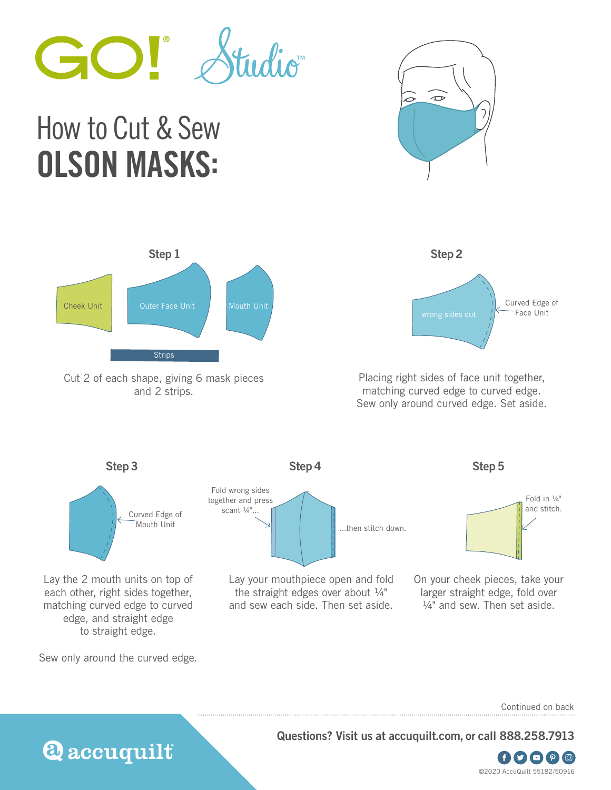

## How to Cut & Sew OLSON MASKS:





Cut 2 of each shape, giving 6 mask pieces and 2 strips.



Placing right sides of face unit together, matching curved edge to curved edge. Sew only around curved edge. Set aside.



Lay the 2 mouth units on top of each other, right sides together, matching curved edge to curved edge, and straight edge to straight edge.

Sew only around the curved edge.

**Q** accuquilt





Lay your mouthpiece open and fold the straight edges over about ¼" and sew each side. Then set aside.





On your cheek pieces, take your larger straight edge, fold over  $\frac{1}{4}$ " and sew. Then set aside.

Continued on back

**Questions? Visit us at accuquilt.com, or call 888.258.7913**